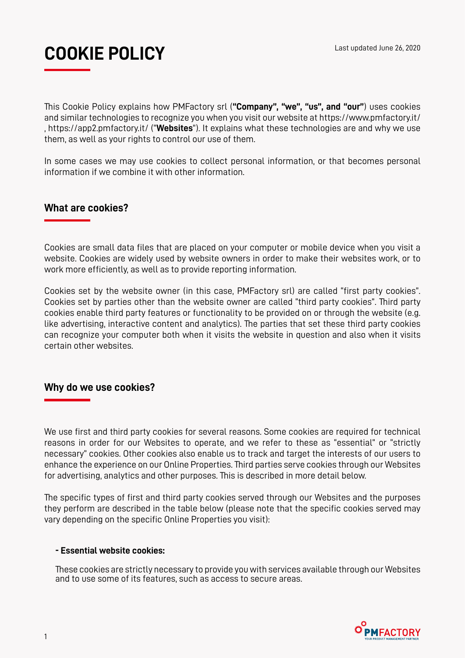# **COOKIE POLICY** Last updated June 26, 2020

This Cookie Policy explains how PMFactory srl (**"Company", "we", "us", and "our"**) uses cookies and similar technologies to recognize you when you visit our website at https://www.pmfactory.it/ , https://app2.pmfactory.it/ ("**Websites**"). It explains what these technologies are and why we use them, as well as your rights to control our use of them.

In some cases we may use cookies to collect personal information, or that becomes personal information if we combine it with other information.

## **What are cookies?**

Cookies are small data files that are placed on your computer or mobile device when you visit a website. Cookies are widely used by website owners in order to make their websites work, or to work more efficiently, as well as to provide reporting information.

Cookies set by the website owner (in this case, PMFactory srl) are called "first party cookies". Cookies set by parties other than the website owner are called "third party cookies". Third party cookies enable third party features or functionality to be provided on or through the website (e.g. like advertising, interactive content and analytics). The parties that set these third party cookies can recognize your computer both when it visits the website in question and also when it visits certain other websites.

### **Why do we use cookies?**

We use first and third party cookies for several reasons. Some cookies are required for technical reasons in order for our Websites to operate, and we refer to these as "essential" or "strictly necessary" cookies. Other cookies also enable us to track and target the interests of our users to enhance the experience on our Online Properties. Third parties serve cookies through our Websites for advertising, analytics and other purposes. This is described in more detail below.

The specific types of first and third party cookies served through our Websites and the purposes they perform are described in the table below (please note that the specific cookies served may vary depending on the specific Online Properties you visit):

#### **- Essential website cookies:**

These cookies are strictly necessary to provide you with services available through our Websites and to use some of its features, such as access to secure areas.

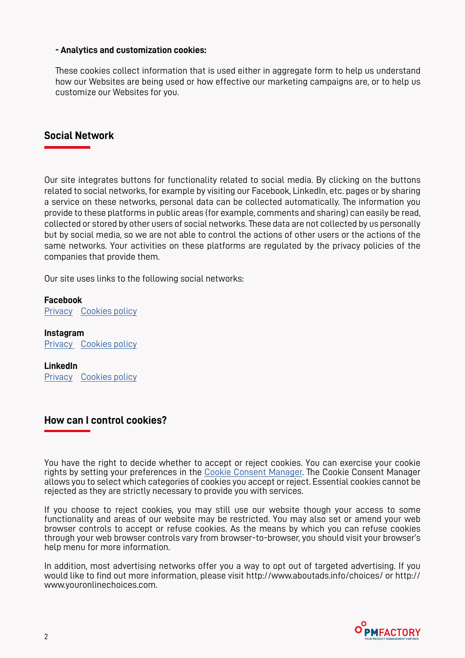#### **- Analytics and customization cookies:**

These cookies collect information that is used either in aggregate form to help us understand how our Websites are being used or how effective our marketing campaigns are, or to help us customize our Websites for you.

#### **Social Network**

Our site integrates buttons for functionality related to social media. By clicking on the buttons related to social networks, for example by visiting our Facebook, LinkedIn, etc. pages or by sharing a service on these networks, personal data can be collected automatically. The information you provide to these platforms in public areas (for example, comments and sharing) can easily be read, collected or stored by other users of social networks. These data are not collected by us personally but by social media, so we are not able to control the actions of other users or the actions of the same networks. Your activities on these platforms are regulated by the privacy policies of the companies that provide them.

Our site uses links to the following social networks:

**Facebook** [Privacy](https://www.facebook.com/privacy/explanation) [Cookies policy](https://www.facebook.com/policies/cookies/)

**Instagram** [Privacy](https://help.instagram.com/155833707900388) [Cookies policy](https://help.instagram.com/1896641480634370)

**LinkedIn** [Privacy](https://www.linkedin.com/legal/privacy-policy) [Cookies policy](https://www.linkedin.com/legal/cookie-policy)

### **How can I control cookies?**

You have the right to decide whether to accept or reject cookies. You can exercise your cookie rights by setting your preferences in the [Cookie Consent Manager.](https://www.pmfactory.it/en/consent.html) The Cookie Consent Manager allows you to select which categories of cookies you accept or reject. Essential cookies cannot be rejected as they are strictly necessary to provide you with services.

If you choose to reject cookies, you may still use our website though your access to some functionality and areas of our website may be restricted. You may also set or amend your web browser controls to accept or refuse cookies. As the means by which you can refuse cookies through your web browser controls vary from browser-to-browser, you should visit your browser's help menu for more information.

In addition, most advertising networks offer you a way to opt out of targeted advertising. If you would like to find out more information, please visit http://www.aboutads.info/choices/ or http:// www.youronlinechoices.com.

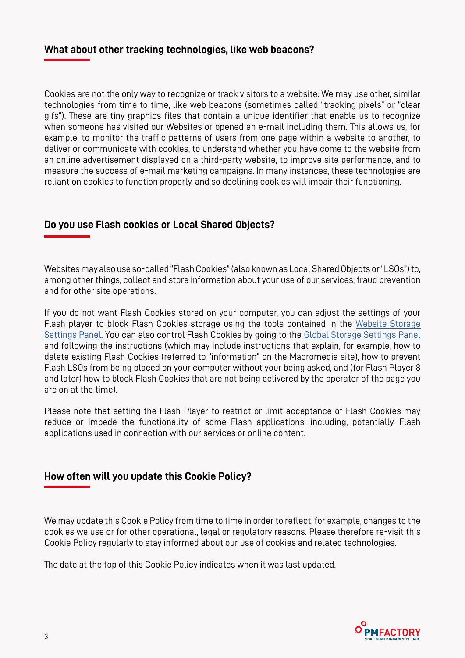### **What about other tracking technologies, like web beacons?**

Cookies are not the only way to recognize or track visitors to a website. We may use other, similar technologies from time to time, like web beacons (sometimes called "tracking pixels" or "clear gifs"). These are tiny graphics files that contain a unique identifier that enable us to recognize when someone has visited our Websites or opened an e-mail including them. This allows us, for example, to monitor the traffic patterns of users from one page within a website to another, to deliver or communicate with cookies, to understand whether you have come to the website from an online advertisement displayed on a third-party website, to improve site performance, and to measure the success of e-mail marketing campaigns. In many instances, these technologies are reliant on cookies to function properly, and so declining cookies will impair their functioning.

### **Do you use Flash cookies or Local Shared Objects?**

Websites may also use so-called "Flash Cookies" (also known as Local Shared Objects or "LSOs") to, among other things, collect and store information about your use of our services, fraud prevention and for other site operations.

If you do not want Flash Cookies stored on your computer, you can adjust the settings of your Flash player to block Flash Cookies storage using the tools contained in the [Website Storage](http://www.macromedia.com/support/documentation/en/flashplayer/help/settings_manager07.html#_blank)  [Settings Panel](http://www.macromedia.com/support/documentation/en/flashplayer/help/settings_manager07.html#_blank). You can also control Flash Cookies by going to the [Global Storage Settings Panel](http://www.macromedia.com/support/documentation/en/flashplayer/help/settings_manager03.html#_blank) and following the instructions (which may include instructions that explain, for example, how to delete existing Flash Cookies (referred to "information" on the Macromedia site), how to prevent Flash LSOs from being placed on your computer without your being asked, and (for Flash Player 8 and later) how to block Flash Cookies that are not being delivered by the operator of the page you are on at the time).

Please note that setting the Flash Player to restrict or limit acceptance of Flash Cookies may reduce or impede the functionality of some Flash applications, including, potentially, Flash applications used in connection with our services or online content.

### **How often will you update this Cookie Policy?**

We may update this Cookie Policy from time to time in order to reflect, for example, changes to the cookies we use or for other operational, legal or regulatory reasons. Please therefore re-visit this Cookie Policy regularly to stay informed about our use of cookies and related technologies.

The date at the top of this Cookie Policy indicates when it was last updated.